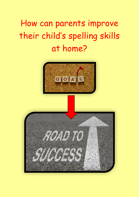# How can parents improve their child's spelling skills at home?



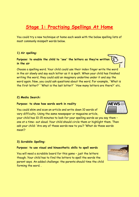# **Stage 1: Practising Spellings At Home**

You could try a new technique at home each week with the below spelling lists of most commonly misspelt words below.

# **1) Air spelling:**

**Purpose: to enable the child to 'see' the letters as they're written in the air** 

Choose a spelling word. Your child could use their index finger write the word in the air slowly and say each letter as it is spelt. When your child has finished writing the word, they could add an imaginary underline under it and say the word again. Now, you could ask questions about the word. For example, 'What is the first letter?' 'What is the last letter?' 'How many letters are there?' etc.

#### **2) Media Search:**

#### **Purpose: to show how words work in reality**

You could skim and scan an article and write down 10 words of vary difficulty. Using the same newspaper or magazine article,

your child has 10-15 minutes to look for your spelling words as you say them – one at a time- out aloud. Your child should circle them or highlight them. Then ask your child: 'Are any of these words new to you'? 'What do these words mean'?

# **3) Scrabble Spelling:**

#### **Purpose: to use visual and kinaesthetic skills to spell words**

You will need a scrabble board for this game – just the letters though. Your child has to find the letters to spell the words the parent says. An added challenge: the parents should time the child forming the word. .



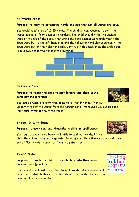# **4) Pyramid Power:**

# **Purpose: to learn to categorise words and see that not all words are equal**

You would need a list of 10-15 words. The child is then required to sort the words into a list from easiest to hardest. The child should write the easiest word at the top of the page. Then write the next easiest word underneath the first word but to the left hand side and the following word also underneath the first word but on the right hand side. Continue in this fashion as the child's goal is to slowly shape the words into a pyramid.



# **5) Ransom Note:**

**Purpose: to teach the child to sort letters into their sound combinations (phonics)** 

You could create a ransom note of no more than 5 words. Then cut up only three of the words from the ransom note – make sure you cut up each individual letter of the three words.

# **6) Spell It With Beans:**

#### **Purpose: to use visual and kinaesthetic skills to spell words**

You could use any dried beans or lentils to spell out words. If the child then glues them onto separate pieces of card then they've made their own set of flash cards to practice from in a future test.

#### **7) ABC Order:**

# **Purpose: to teach the child to sort letters into their sound combinations (phonics)**

The parent should ask their child to spell words out in alphabetical order. An added challenge: the child should then write the words in reverse alphabetical order.





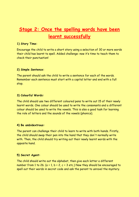# **Stage 2: Once the spelling words have been learnt successfully**

# **1) Story Time:**

Encourage the child to write a short story using a selection of 30 or more words their child has learnt to spell. Added challenge: now it's time to teach them to check their punctuation!

# **2) Simple Sentence:**

The parent should ask the child to write a sentence for each of the words. Remember each sentence must start with a capital letter and end with a full stop.

# **3) Colourful Words:**

The child should use two different coloured pens to write out 15 of their newly learnt words. One colour should be used to write the consonants and a different colour should be used to write the vowels. This is also a good task for learning the role of letters and the sounds of the vowels (phonics).

#### **4) Be ambidextrous:**

The parent can challenge their child to learn to write with both hands. Firstly, the child should swap their pen into the hand that they don't normally write with. Then, the child should try writing out their newly learnt words with the opposite hand.

# **5) Secret Agent:**

The child should write out the alphabet, then give each letter a different number from 1 to 26. ( $a = 1$ ,  $b = 2$ ,  $c = 3$  etc.) Now they should be encouraged to spell out their words in secret code and ask the parent to unravel the mystery.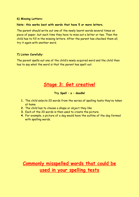## **6) Missing Letters:**

# **Note: this works best with words that have 5 or more letters.**

The parent should write out one of the newly learnt words several times on piece of paper, but each time they have to miss out a letter or two. Then the child has to fill in the missing letters. After the parent has checked them all, try it again with another word.

# **7) Listen Carefully:**

The parent spells out one of the child's newly acquired word and the child then has to say what the word is that the parent has spelt out.

# **Stage 3: Get creative!**

**Try Spell – a – doodle!** 

- **1.** The child selects 20 words from the series of spelling tests they've taken at home
- **2.** The child has to choose a shape or object they like
- **3.** Each of the 20 words is then used to create the picture.
- **4.** For example, a picture of a dog would have the outline of the dog formed with spelling words.

# **Commonly misspelled words that could be used in your spelling tests**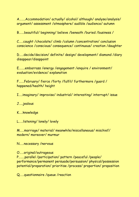A……..Accommodation/ actually/ alcohol/ although/ analyse/analysis/ argument/ assessment /atmosphere/ audible /audience/ autumn

B…….beautiful/ beginning/ believe /beneath /buried /business /

C……caught /chocolate/ climb /column /concentration/ conclusion conscience /conscious/ consequence/ continuous/ creation /daughter

D……decide/decision/ definite/ design/ development/ diamond /diary disappear/disappoint

E……..embarrass /energy /engagement /enquire / environment/ evaluation/evidence/ explanation

F…….February/ fierce /forty /fulfil/ furthermore /guard / happened/health/ height

I…..imaginary/ improvise/ industrial/ interesting/ interrupt/ issue

J…..jealous

K…..knowledge

L……listening/ lonely/ lovely

M……marriage/ material/ meanwhile/miscellaneous/ mischief/ modern/ moreover/ murmur

N……necessary /nervous

O……original/outrageous

P……..parallel /participation/ pattern /peaceful /people/ performance/permanent persuade/persuasion/ physical/possession potential/preparation/ prioritise /process/ proportion/ proposition

Q……questionnaire /queue /reaction